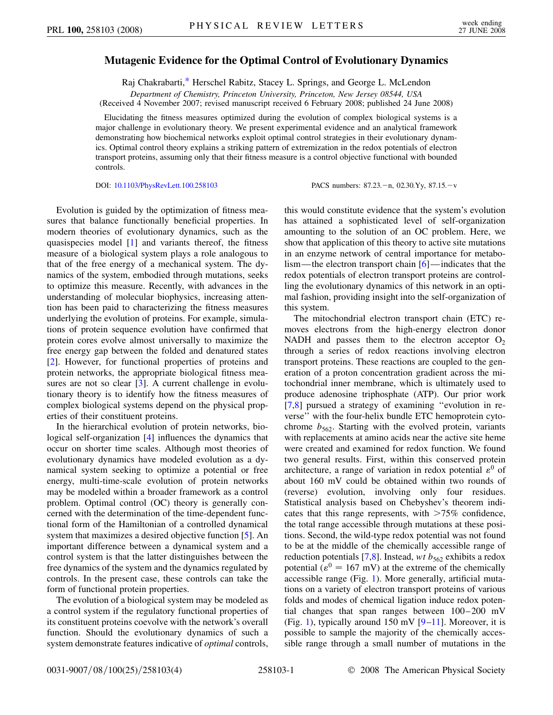## **Mutagenic Evidence for the Optimal Control of Evolutionary Dynamics**

<span id="page-0-0"></span>Raj Chakrabarti,[\\*](#page-3-0) Herschel Rabitz, Stacey L. Springs, and George L. McLendon *Department of Chemistry, Princeton University, Princeton, New Jersey 08544, USA* (Received 4 November 2007; revised manuscript received 6 February 2008; published 24 June 2008)

Elucidating the fitness measures optimized during the evolution of complex biological systems is a major challenge in evolutionary theory. We present experimental evidence and an analytical framework demonstrating how biochemical networks exploit optimal control strategies in their evolutionary dynamics. Optimal control theory explains a striking pattern of extremization in the redox potentials of electron transport proteins, assuming only that their fitness measure is a control objective functional with bounded controls.

DOI: [10.1103/PhysRevLett.100.258103](http://dx.doi.org/10.1103/PhysRevLett.100.258103) PACS numbers: 87.23. - n, 02.30.Yy, 87.15. - v

Evolution is guided by the optimization of fitness measures that balance functionally beneficial properties. In modern theories of evolutionary dynamics, such as the quasispecies model [[1](#page-3-1)] and variants thereof, the fitness measure of a biological system plays a role analogous to that of the free energy of a mechanical system. The dynamics of the system, embodied through mutations, seeks to optimize this measure. Recently, with advances in the understanding of molecular biophysics, increasing attention has been paid to characterizing the fitness measures underlying the evolution of proteins. For example, simulations of protein sequence evolution have confirmed that protein cores evolve almost universally to maximize the free energy gap between the folded and denatured states [\[2\]](#page-3-2). However, for functional properties of proteins and protein networks, the appropriate biological fitness measures are not so clear  $\lceil 3 \rceil$ . A current challenge in evolutionary theory is to identify how the fitness measures of complex biological systems depend on the physical properties of their constituent proteins.

In the hierarchical evolution of protein networks, biological self-organization [\[4\]](#page-3-4) influences the dynamics that occur on shorter time scales. Although most theories of evolutionary dynamics have modeled evolution as a dynamical system seeking to optimize a potential or free energy, multi-time-scale evolution of protein networks may be modeled within a broader framework as a control problem. Optimal control (OC) theory is generally concerned with the determination of the time-dependent functional form of the Hamiltonian of a controlled dynamical system that maximizes a desired objective function [[5\]](#page-3-5). An important difference between a dynamical system and a control system is that the latter distinguishes between the free dynamics of the system and the dynamics regulated by controls. In the present case, these controls can take the form of functional protein properties.

The evolution of a biological system may be modeled as a control system if the regulatory functional properties of its constituent proteins coevolve with the network's overall function. Should the evolutionary dynamics of such a system demonstrate features indicative of *optimal* controls, this would constitute evidence that the system's evolution has attained a sophisticated level of self-organization amounting to the solution of an OC problem. Here, we show that application of this theory to active site mutations in an enzyme network of central importance for metabolism—the electron transport chain [\[6](#page-3-6)]—indicates that the redox potentials of electron transport proteins are controlling the evolutionary dynamics of this network in an optimal fashion, providing insight into the self-organization of this system.

The mitochondrial electron transport chain (ETC) removes electrons from the high-energy electron donor NADH and passes them to the electron acceptor  $O<sub>2</sub>$ through a series of redox reactions involving electron transport proteins. These reactions are coupled to the generation of a proton concentration gradient across the mitochondrial inner membrane, which is ultimately used to produce adenosine triphosphate (ATP). Our prior work [\[7,](#page-3-7)[8](#page-3-8)] pursued a strategy of examining ''evolution in reverse'' with the four-helix bundle ETC hemoprotein cytochrome  $b_{562}$ . Starting with the evolved protein, variants with replacements at amino acids near the active site heme were created and examined for redox function. We found two general results. First, within this conserved protein architecture, a range of variation in redox potential  $\varepsilon^0$  of about 160 mV could be obtained within two rounds of (reverse) evolution, involving only four residues. Statistical analysis based on Chebyshev's theorem indicates that this range represents, with *>*75% confidence, the total range accessible through mutations at these positions. Second, the wild-type redox potential was not found to be at the middle of the chemically accessible range of reduction potentials  $[7,8]$  $[7,8]$  $[7,8]$ . Instead, *wt b*<sub>562</sub> exhibits a redox potential ( $\varepsilon$ <sup>0</sup> = 167 mV) at the extreme of the chemically accessible range (Fig. [1\)](#page-1-0). More generally, artificial mutations on a variety of electron transport proteins of various folds and modes of chemical ligation induce redox potential changes that span ranges between 100–200 mV (Fig. [1](#page-1-0)), typically around 150 mV  $[9-11]$  $[9-11]$  $[9-11]$  $[9-11]$ . Moreover, it is possible to sample the majority of the chemically accessible range through a small number of mutations in the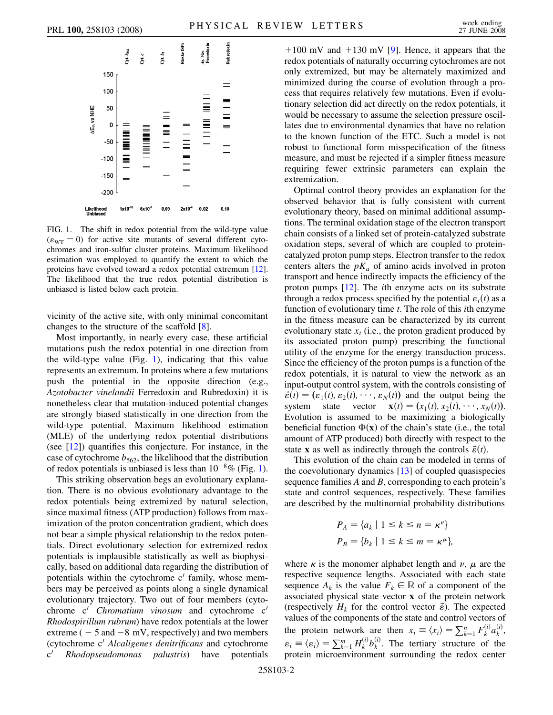<span id="page-1-0"></span>

FIG. 1. The shift in redox potential from the wild-type value  $(\varepsilon_{\text{WT}} = 0)$  for active site mutants of several different cytochromes and iron-sulfur cluster proteins. Maximum likelihood estimation was employed to quantify the extent to which the proteins have evolved toward a redox potential extremum [\[12\]](#page-3-11). The likelihood that the true redox potential distribution is unbiased is listed below each protein.

vicinity of the active site, with only minimal concomitant changes to the structure of the scaffold [\[8](#page-3-8)].

Most importantly, in nearly every case, these artificial mutations push the redox potential in one direction from the wild-type value (Fig. [1\)](#page-1-0), indicating that this value represents an extremum. In proteins where a few mutations push the potential in the opposite direction (e.g., *Azotobacter vinelandii* Ferredoxin and Rubredoxin) it is nonetheless clear that mutation-induced potential changes are strongly biased statistically in one direction from the wild-type potential. Maximum likelihood estimation (MLE) of the underlying redox potential distributions (see [\[12\]](#page-3-11)) quantifies this conjecture. For instance, in the case of cytochrome  $b_{562}$ , the likelihood that the distribution of redox potentials is unbiased is less than  $10^{-8}\%$  (Fig. [1\)](#page-1-0).

This striking observation begs an evolutionary explanation. There is no obvious evolutionary advantage to the redox potentials being extremized by natural selection, since maximal fitness (ATP production) follows from maximization of the proton concentration gradient, which does not bear a simple physical relationship to the redox potentials. Direct evolutionary selection for extremized redox potentials is implausible statistically as well as biophysically, based on additional data regarding the distribution of potentials within the cytochrome  $c'$  family, whose members may be perceived as points along a single dynamical evolutionary trajectory. Two out of four members (cytochrome c<sup>'</sup> *Chromatium vinosum* and cytochrome c' *Rhodospirillum rubrum*) have redox potentials at the lower extreme ( $-5$  and  $-8$  mV, respectively) and two members (cytochrome c<sup>0</sup> *Alcaligenes denitrificans* and cytochrome c<sup>0</sup> *Rhodopseudomonas palustris*) have potentials

 $+100$  mV and  $+130$  mV [[9\]](#page-3-9). Hence, it appears that the redox potentials of naturally occurring cytochromes are not only extremized, but may be alternately maximized and minimized during the course of evolution through a process that requires relatively few mutations. Even if evolutionary selection did act directly on the redox potentials, it would be necessary to assume the selection pressure oscillates due to environmental dynamics that have no relation to the known function of the ETC. Such a model is not robust to functional form misspecification of the fitness measure, and must be rejected if a simpler fitness measure requiring fewer extrinsic parameters can explain the extremization.

Optimal control theory provides an explanation for the observed behavior that is fully consistent with current evolutionary theory, based on minimal additional assumptions. The terminal oxidation stage of the electron transport chain consists of a linked set of protein-catalyzed substrate oxidation steps, several of which are coupled to proteincatalyzed proton pump steps. Electron transfer to the redox centers alters the  $pK_a$  of amino acids involved in proton transport and hence indirectly impacts the efficiency of the proton pumps [\[12\]](#page-3-11). The *i*th enzyme acts on its substrate through a redox process specified by the potential  $\varepsilon_i(t)$  as a function of evolutionary time *t*. The role of this *i*th enzyme in the fitness measure can be characterized by its current evolutionary state *xi* (i.e., the proton gradient produced by its associated proton pump) prescribing the functional utility of the enzyme for the energy transduction process. Since the efficiency of the proton pumps is a function of the redox potentials, it is natural to view the network as an input-output control system, with the controls consisting of  $\vec{\varepsilon}(t) = (\varepsilon_1(t), \varepsilon_2(t), \cdots, \varepsilon_N(t))$  and the output being the system state vector  $\mathbf{x}(t) = (x_1(t), x_2(t), \cdots, x_N(t)).$ Evolution is assumed to be maximizing a biologically beneficial function  $\Phi(\mathbf{x})$  of the chain's state (i.e., the total amount of ATP produced) both directly with respect to the state **x** as well as indirectly through the controls  $\vec{\varepsilon}(t)$ .

This evolution of the chain can be modeled in terms of the coevolutionary dynamics [[13](#page-3-12)] of coupled quasispecies sequence families *A* and *B*, corresponding to each protein's state and control sequences, respectively. These families are described by the multinomial probability distributions

$$
P_A = \{a_k \mid 1 \le k \le n = \kappa^{\nu}\}
$$
  

$$
P_B = \{b_k \mid 1 \le k \le m = \kappa^{\mu}\},
$$

where  $\kappa$  is the monomer alphabet length and  $\nu$ ,  $\mu$  are the respective sequence lengths. Associated with each state sequence  $A_k$  is the value  $F_k \in \mathbb{R}$  of a component of the associated physical state vector **x** of the protein network (respectively  $H_k$  for the control vector  $\vec{\epsilon}$ ). The expected values of the components of the state and control vectors of the protein network are then  $x_i = \langle x_i \rangle = \sum_{k=1}^n F_k^{(i)} a_k^{(i)}$ ,  $\varepsilon_i \equiv \langle \varepsilon_i \rangle = \sum_{k=1}^m H_k^{(i)} b_k^{(i)}$ . The tertiary structure of the protein microenvironment surrounding the redox center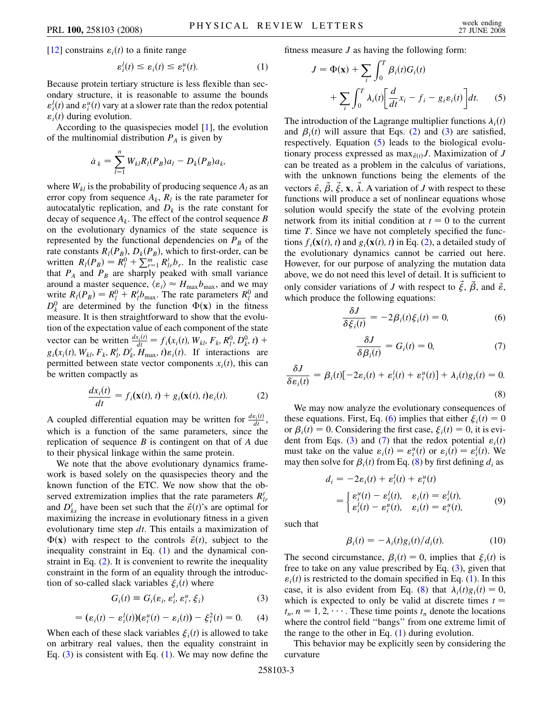<span id="page-2-0"></span> $[12]$  constrains  $\varepsilon_i(t)$  to a finite range

$$
\varepsilon_i^l(t) \le \varepsilon_i(t) \le \varepsilon_i^u(t). \tag{1}
$$

Because protein tertiary structure is less flexible than secondary structure, it is reasonable to assume the bounds  $\varepsilon_i^l(t)$  and  $\varepsilon_i^u(t)$  vary at a slower rate than the redox potential  $\varepsilon_i(t)$  during evolution.

According to the quasispecies model  $[1]$  $[1]$ , the evolution of the multinomial distribution  $P_A$  is given by

$$
\dot{a}_k = \sum_{l=1}^n W_{kl} R_l(P_B) a_l - D_k(P_B) a_k,
$$

where  $W_{kl}$  is the probability of producing sequence  $A_l$  as an error copy from sequence  $A_k$ ,  $R_l$  is the rate parameter for autocatalytic replication, and  $D_k$  is the rate constant for decay of sequence  $A_k$ . The effect of the control sequence *B* on the evolutionary dynamics of the state sequence is represented by the functional dependencies on  $P_B$  of the rate constants  $R_l(P_B)$ ,  $D_k(P_B)$ , which to first-order, can be written  $R_l(P_B) = R_l^0 + \sum_{r=1}^{m} R_{lr}^l b_r$ . In the realistic case that  $P_A$  and  $P_B$  are sharply peaked with small variance around a master sequence,  $\langle \varepsilon_i \rangle \approx H_{\text{max}} b_{\text{max}}$ , and we may write  $R_l(P_B) = R_l^0 + R_l^{\prime} b_{\text{max}}$ . The rate parameters  $R_l^0$  and  $D_k^0$  are determined by the function  $\Phi(\mathbf{x})$  in the fitness measure. It is then straightforward to show that the evolution of the expectation value of each component of the state vector can be written  $\frac{dx_i(t)}{dt} = f_i(x_i(t), W_{kl}, F_k, R_l^0, D_k^0, t)$  +  $g_i(x_i(t), W_{kl}, F_k, R_l^t, D_k^t, H_{\text{max}}, t) \varepsilon_i(t)$ . If interactions are permitted between state vector components  $x_i(t)$ , this can be written compactly as

$$
\frac{dx_i(t)}{dt} = f_i(\mathbf{x}(t), t) + g_i(\mathbf{x}(t), t)\varepsilon_i(t).
$$
 (2)

<span id="page-2-1"></span>A coupled differential equation may be written for  $\frac{de_i(t)}{dt}$ , which is a function of the same parameters, since the replication of sequence *B* is contingent on that of *A* due to their physical linkage within the same protein.

We note that the above evolutionary dynamics framework is based solely on the quasispecies theory and the known function of the ETC. We now show that the observed extremization implies that the rate parameters  $R'_{lr}$ and  $D'_{ks}$  have been set such that the  $\vec{\varepsilon}(t)$ 's are optimal for maximizing the increase in evolutionary fitness in a given evolutionary time step *dt*. This entails a maximization of  $\Phi(\mathbf{x})$  with respect to the controls  $\vec{\varepsilon}(t)$ , subject to the inequality constraint in Eq. ([1\)](#page-2-0) and the dynamical constraint in Eq. [\(2](#page-2-1)). It is convenient to rewrite the inequality constraint in the form of an equality through the introduction of so-called slack variables  $\xi_i(t)$  where

$$
G_i(t) \equiv G_i(\varepsilon_i, \varepsilon_i^l, \varepsilon_i^u, \xi_i)
$$
 (3)

$$
= (\varepsilon_i(t) - \varepsilon_i^l(t)) (\varepsilon_i^u(t) - \varepsilon_i(t)) - \xi_i^2(t) = 0.
$$
 (4)

<span id="page-2-2"></span>When each of these slack variables  $\xi_i(t)$  is allowed to take on arbitrary real values, then the equality constraint in Eq.  $(3)$  $(3)$  $(3)$  is consistent with Eq.  $(1)$  $(1)$ . We may now define the <span id="page-2-3"></span>fitness measure  $J$  as having the following form:

$$
J = \Phi(\mathbf{x}) + \sum_{i} \int_{0}^{T} \beta_{i}(t) G_{i}(t)
$$

$$
+ \sum_{i} \int_{0}^{T} \lambda_{i}(t) \left[ \frac{d}{dt} x_{i} - f_{i} - g_{i} \varepsilon_{i}(t) \right] dt. \tag{5}
$$

The introduction of the Lagrange multiplier functions  $\lambda_i(t)$ and  $\beta_i(t)$  will assure that Eqs. ([2](#page-2-1)) and ([3](#page-2-2)) are satisfied, respectively. Equation ([5\)](#page-2-3) leads to the biological evolutionary process expressed as  $\max_{\vec{\varepsilon}(t)} J$ . Maximization of *J* can be treated as a problem in the calculus of variations, with the unknown functions being the elements of the vectors  $\vec{\epsilon}$ ,  $\vec{\beta}$ ,  $\vec{\xi}$ ,  $\bf{x}$ ,  $\vec{\lambda}$ . A variation of *J* with respect to these functions will produce a set of nonlinear equations whose solution would specify the state of the evolving protein network from its initial condition at  $t = 0$  to the current time *T*. Since we have not completely specified the functions  $f_i(\mathbf{x}(t), t)$  and  $g_i(\mathbf{x}(t), t)$  in Eq. ([2](#page-2-1)), a detailed study of the evolutionary dynamics cannot be carried out here. However, for our purpose of analyzing the mutation data above, we do not need this level of detail. It is sufficient to only consider variations of *J* with respect to  $\dot{\xi}$ ,  $\dot{\beta}$ , and  $\dot{\vec{\epsilon}}$ , which produce the following equations:

<span id="page-2-5"></span>
$$
\frac{\delta J}{\delta \xi_i(t)} = -2\beta_i(t)\xi_i(t) = 0,
$$
\n(6)

$$
\frac{\delta J}{\delta \beta_i(t)} = G_i(t) = 0,\tag{7}
$$

$$
\frac{\partial J}{\partial \varepsilon_i(t)} = \beta_i(t)[-2\varepsilon_i(t) + \varepsilon_i^l(t) + \varepsilon_i^u(t)] + \lambda_i(t)g_i(t) = 0.
$$
\n(8)

<span id="page-2-4"></span>We may now analyze the evolutionary consequences of these equations. First, Eq. [\(6\)](#page-2-4) implies that either  $\xi_i(t) = 0$ or  $\beta_i(t) = 0$ . Considering the first case,  $\xi_i(t) = 0$ , it is evi-dent from Eqs. [\(3\)](#page-2-2) and ([7](#page-2-5)) that the redox potential  $\varepsilon_i(t)$ must take on the value  $\varepsilon_i(t) = \varepsilon_i^u(t)$  or  $\varepsilon_i(t) = \varepsilon_i^l(t)$ . We may then solve for  $\beta_i(t)$  from Eq. ([8\)](#page-2-6) by first defining  $d_i$  as

<span id="page-2-7"></span>
$$
d_i = -2\varepsilon_i(t) + \varepsilon_i^l(t) + \varepsilon_i^u(t)
$$
  
= 
$$
\begin{cases} \varepsilon_i^u(t) - \varepsilon_i^l(t), & \varepsilon_i(t) = \varepsilon_i^l(t), \\ \varepsilon_i^l(t) - \varepsilon_i^u(t), & \varepsilon_i(t) = \varepsilon_i^u(t), \end{cases}
$$
 (9)

such that

<span id="page-2-6"></span> $\sim$ <sup>1</sup>

$$
\beta_i(t) = -\lambda_i(t)g_i(t)/d_i(t). \tag{10}
$$

The second circumstance,  $\beta_i(t) = 0$ , implies that  $\xi_i(t)$  is free to take on any value prescribed by Eq. ([3](#page-2-2)), given that  $\varepsilon_i(t)$  is restricted to the domain specified in Eq. ([1\)](#page-2-0). In this case, it is also evident from Eq. ([8\)](#page-2-6) that  $\lambda_i(t)g_i(t) = 0$ , which is expected to only be valid at discrete times  $t =$  $t_n$ ,  $n = 1, 2, \dots$ . These time points  $t_n$  denote the locations where the control field ''bangs'' from one extreme limit of the range to the other in Eq. ([1](#page-2-0)) during evolution.

This behavior may be explicitly seen by considering the curvature